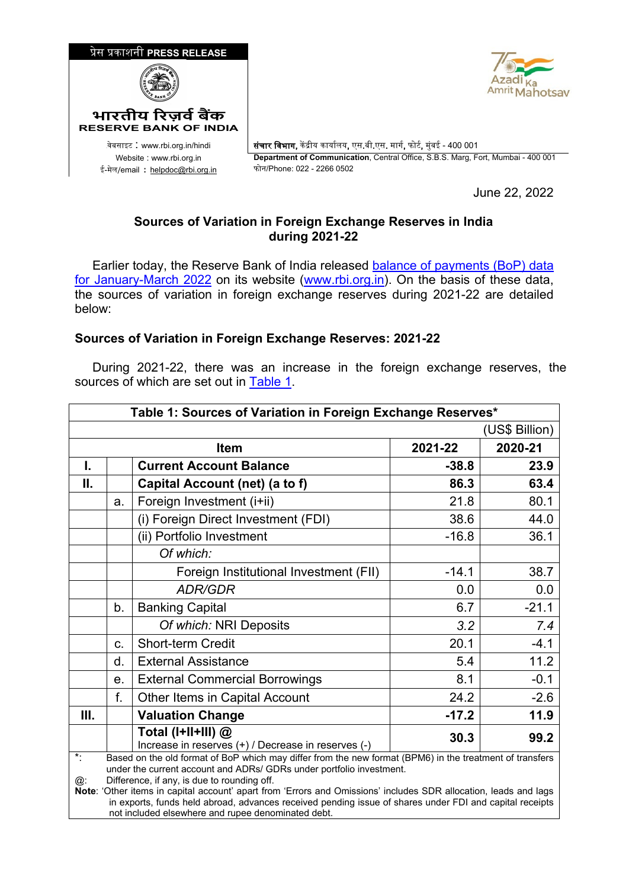



<sup>0</sup>वेबसाइट : www.rbi.org.in/hindi संचार िवभाग, क� �ीय कायार्लय, एस.बी.एस. मागर्, फोटर्, मुंबई - 400 001 Website : www.rbi.org.in **Department of Communication**, Central Office, S.B.S. Marg, Fort, Mumbai - 400 001

June 22, 2022

## **Sources of Variation in Foreign Exchange Reserves in India during 2021-22**

Earlier today, the Reserve Bank of India released balance of payments (BoP) data [for January-March 2022](https://www.rbi.org.in/Scripts/BS_PressReleaseDisplay.aspx?prid=53906) on its website [\(www.rbi.org.in\)](https://www.rbi.org.in/). On the basis of these data, the sources of variation in foreign exchange reserves during 2021-22 are detailed below:

## **Sources of Variation in Foreign Exchange Reserves: 2021-22**

 During 2021-22, there was an increase in the foreign exchange reserves, the sources of which are set out in [Table 1.](#page-0-0)

<span id="page-0-0"></span>

| Table 1: Sources of Variation in Foreign Exchange Reserves*                                                                                                                                                                                                                                                                                                                                                                                                                                                                                  |                |                                                                             |         |                |  |  |
|----------------------------------------------------------------------------------------------------------------------------------------------------------------------------------------------------------------------------------------------------------------------------------------------------------------------------------------------------------------------------------------------------------------------------------------------------------------------------------------------------------------------------------------------|----------------|-----------------------------------------------------------------------------|---------|----------------|--|--|
|                                                                                                                                                                                                                                                                                                                                                                                                                                                                                                                                              |                |                                                                             |         | (US\$ Billion) |  |  |
|                                                                                                                                                                                                                                                                                                                                                                                                                                                                                                                                              |                | <b>Item</b>                                                                 | 2021-22 | 2020-21        |  |  |
| I.                                                                                                                                                                                                                                                                                                                                                                                                                                                                                                                                           |                | <b>Current Account Balance</b>                                              | $-38.8$ | 23.9           |  |  |
| II.                                                                                                                                                                                                                                                                                                                                                                                                                                                                                                                                          |                | Capital Account (net) (a to f)                                              | 86.3    | 63.4           |  |  |
|                                                                                                                                                                                                                                                                                                                                                                                                                                                                                                                                              | a.             | Foreign Investment (i+ii)                                                   | 21.8    | 80.1           |  |  |
|                                                                                                                                                                                                                                                                                                                                                                                                                                                                                                                                              |                | (i) Foreign Direct Investment (FDI)                                         | 38.6    | 44.0           |  |  |
|                                                                                                                                                                                                                                                                                                                                                                                                                                                                                                                                              |                | (ii) Portfolio Investment                                                   | $-16.8$ | 36.1           |  |  |
|                                                                                                                                                                                                                                                                                                                                                                                                                                                                                                                                              |                | Of which:                                                                   |         |                |  |  |
|                                                                                                                                                                                                                                                                                                                                                                                                                                                                                                                                              |                | Foreign Institutional Investment (FII)                                      | $-14.1$ | 38.7           |  |  |
|                                                                                                                                                                                                                                                                                                                                                                                                                                                                                                                                              |                | <b>ADR/GDR</b>                                                              | 0.0     | 0.0            |  |  |
|                                                                                                                                                                                                                                                                                                                                                                                                                                                                                                                                              | b.             | <b>Banking Capital</b>                                                      | 6.7     | $-21.1$        |  |  |
|                                                                                                                                                                                                                                                                                                                                                                                                                                                                                                                                              |                | Of which: NRI Deposits                                                      | 3.2     | 7.4            |  |  |
|                                                                                                                                                                                                                                                                                                                                                                                                                                                                                                                                              | C.             | <b>Short-term Credit</b>                                                    | 20.1    | $-4.1$         |  |  |
|                                                                                                                                                                                                                                                                                                                                                                                                                                                                                                                                              | d.             | <b>External Assistance</b>                                                  | 5.4     | 11.2           |  |  |
|                                                                                                                                                                                                                                                                                                                                                                                                                                                                                                                                              | e <sub>1</sub> | <b>External Commercial Borrowings</b>                                       | 8.1     | $-0.1$         |  |  |
|                                                                                                                                                                                                                                                                                                                                                                                                                                                                                                                                              | f.             | Other Items in Capital Account                                              | 24.2    | $-2.6$         |  |  |
| Ш.                                                                                                                                                                                                                                                                                                                                                                                                                                                                                                                                           |                | <b>Valuation Change</b>                                                     | $-17.2$ | 11.9           |  |  |
|                                                                                                                                                                                                                                                                                                                                                                                                                                                                                                                                              |                | Total (I+II+III) $@$<br>Increase in reserves (+) / Decrease in reserves (-) | 30.3    | 99.2           |  |  |
| $\ddot{\cdot}$<br>Based on the old format of BoP which may differ from the new format (BPM6) in the treatment of transfers<br>under the current account and ADRs/ GDRs under portfolio investment.<br>Difference, if any, is due to rounding off.<br>@:<br>Note: 'Other items in capital account' apart from 'Errors and Omissions' includes SDR allocation, leads and lags<br>in exports, funds held abroad, advances received pending issue of shares under FDI and capital receipts<br>not included elsewhere and rupee denominated debt. |                |                                                                             |         |                |  |  |